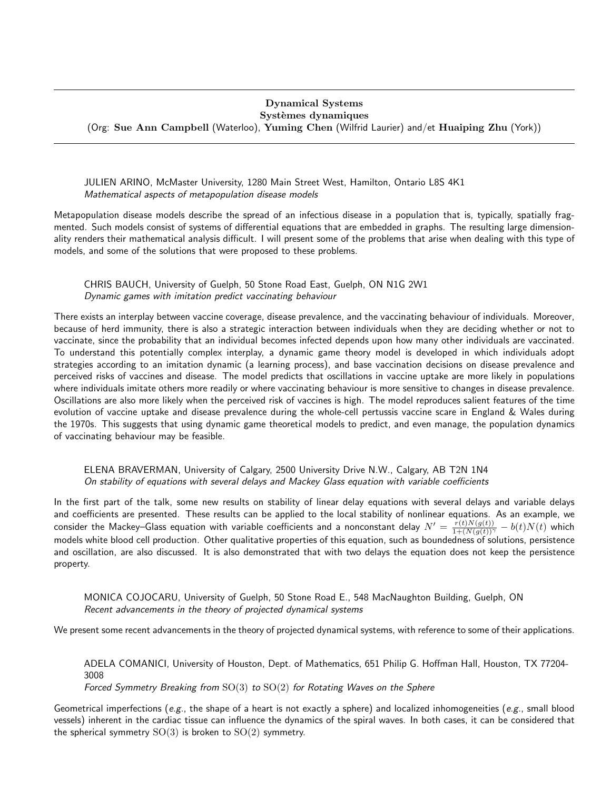#### Dynamical Systems Systèmes dynamiques

(Org: Sue Ann Campbell (Waterloo), Yuming Chen (Wilfrid Laurier) and/et Huaiping Zhu (York))

JULIEN ARINO, McMaster University, 1280 Main Street West, Hamilton, Ontario L8S 4K1 Mathematical aspects of metapopulation disease models

Metapopulation disease models describe the spread of an infectious disease in a population that is, typically, spatially fragmented. Such models consist of systems of differential equations that are embedded in graphs. The resulting large dimensionality renders their mathematical analysis difficult. I will present some of the problems that arise when dealing with this type of models, and some of the solutions that were proposed to these problems.

# CHRIS BAUCH, University of Guelph, 50 Stone Road East, Guelph, ON N1G 2W1 Dynamic games with imitation predict vaccinating behaviour

There exists an interplay between vaccine coverage, disease prevalence, and the vaccinating behaviour of individuals. Moreover, because of herd immunity, there is also a strategic interaction between individuals when they are deciding whether or not to vaccinate, since the probability that an individual becomes infected depends upon how many other individuals are vaccinated. To understand this potentially complex interplay, a dynamic game theory model is developed in which individuals adopt strategies according to an imitation dynamic (a learning process), and base vaccination decisions on disease prevalence and perceived risks of vaccines and disease. The model predicts that oscillations in vaccine uptake are more likely in populations where individuals imitate others more readily or where vaccinating behaviour is more sensitive to changes in disease prevalence. Oscillations are also more likely when the perceived risk of vaccines is high. The model reproduces salient features of the time evolution of vaccine uptake and disease prevalence during the whole-cell pertussis vaccine scare in England & Wales during the 1970s. This suggests that using dynamic game theoretical models to predict, and even manage, the population dynamics of vaccinating behaviour may be feasible.

## ELENA BRAVERMAN, University of Calgary, 2500 University Drive N.W., Calgary, AB T2N 1N4 On stability of equations with several delays and Mackey Glass equation with variable coefficients

In the first part of the talk, some new results on stability of linear delay equations with several delays and variable delays and coefficients are presented. These results can be applied to the local stability of nonlinear equations. As an example, we consider the Mackey–Glass equation with variable coefficients and a nonconstant delay  $N'=\frac{r(t)N(g(t))}{1+(N(g(t))^\gamma}-b(t)N(t)$  which models white blood cell production. Other qualitative properties of this equation, such as boundedness of solutions, persistence and oscillation, are also discussed. It is also demonstrated that with two delays the equation does not keep the persistence property.

MONICA COJOCARU, University of Guelph, 50 Stone Road E., 548 MacNaughton Building, Guelph, ON Recent advancements in the theory of projected dynamical systems

We present some recent advancements in the theory of projected dynamical systems, with reference to some of their applications.

ADELA COMANICI, University of Houston, Dept. of Mathematics, 651 Philip G. Hoffman Hall, Houston, TX 77204- 3008 Forced Symmetry Breaking from SO(3) to SO(2) for Rotating Waves on the Sphere

Geometrical imperfections (e.g., the shape of a heart is not exactly a sphere) and localized inhomogeneities (e.g., small blood vessels) inherent in the cardiac tissue can influence the dynamics of the spiral waves. In both cases, it can be considered that the spherical symmetry  $SO(3)$  is broken to  $SO(2)$  symmetry.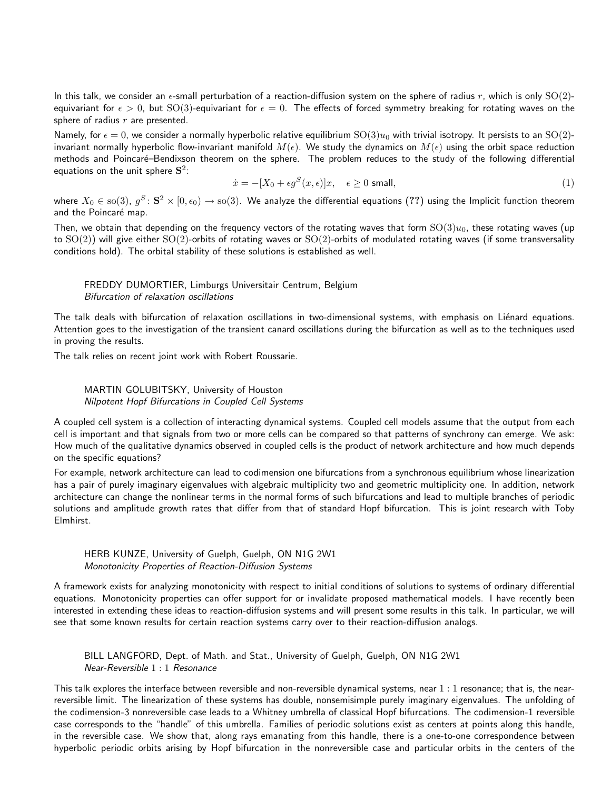In this talk, we consider an  $\epsilon$ -small perturbation of a reaction-diffusion system on the sphere of radius r, which is only  $SO(2)$ equivariant for  $\epsilon > 0$ , but SO(3)-equivariant for  $\epsilon = 0$ . The effects of forced symmetry breaking for rotating waves on the sphere of radius  $r$  are presented.

Namely, for  $\epsilon = 0$ , we consider a normally hyperbolic relative equilibrium  $SO(3)u_0$  with trivial isotropy. It persists to an  $SO(2)$ invariant normally hyperbolic flow-invariant manifold  $M(\epsilon)$ . We study the dynamics on  $M(\epsilon)$  using the orbit space reduction methods and Poincaré-Bendixson theorem on the sphere. The problem reduces to the study of the following differential equations on the unit sphere  ${\bf S}^2$ :

$$
\dot{x} = -[X_0 + \epsilon g^S(x, \epsilon)]x, \quad \epsilon \ge 0 \text{ small},\tag{1}
$$

where  $X_0\in{\rm so}(3)$ ,  $g^S\colon{\bf S}^2\times[0,\epsilon_0)\to{\rm so}(3)$ . We analyze the differential equations  $(??)$  using the Implicit function theorem and the Poincaré map.

Then, we obtain that depending on the frequency vectors of the rotating waves that form  $SO(3)u_0$ , these rotating waves (up to  $SO(2)$ ) will give either  $SO(2)$ -orbits of rotating waves or  $SO(2)$ -orbits of modulated rotating waves (if some transversality conditions hold). The orbital stability of these solutions is established as well.

# FREDDY DUMORTIER, Limburgs Universitair Centrum, Belgium Bifurcation of relaxation oscillations

The talk deals with bifurcation of relaxation oscillations in two-dimensional systems, with emphasis on Liénard equations. Attention goes to the investigation of the transient canard oscillations during the bifurcation as well as to the techniques used in proving the results.

The talk relies on recent joint work with Robert Roussarie.

### MARTIN GOLUBITSKY, University of Houston Nilpotent Hopf Bifurcations in Coupled Cell Systems

A coupled cell system is a collection of interacting dynamical systems. Coupled cell models assume that the output from each cell is important and that signals from two or more cells can be compared so that patterns of synchrony can emerge. We ask: How much of the qualitative dynamics observed in coupled cells is the product of network architecture and how much depends on the specific equations?

For example, network architecture can lead to codimension one bifurcations from a synchronous equilibrium whose linearization has a pair of purely imaginary eigenvalues with algebraic multiplicity two and geometric multiplicity one. In addition, network architecture can change the nonlinear terms in the normal forms of such bifurcations and lead to multiple branches of periodic solutions and amplitude growth rates that differ from that of standard Hopf bifurcation. This is joint research with Toby Elmhirst.

### HERB KUNZE, University of Guelph, Guelph, ON N1G 2W1 Monotonicity Properties of Reaction-Diffusion Systems

A framework exists for analyzing monotonicity with respect to initial conditions of solutions to systems of ordinary differential equations. Monotonicity properties can offer support for or invalidate proposed mathematical models. I have recently been interested in extending these ideas to reaction-diffusion systems and will present some results in this talk. In particular, we will see that some known results for certain reaction systems carry over to their reaction-diffusion analogs.

BILL LANGFORD, Dept. of Math. and Stat., University of Guelph, Guelph, ON N1G 2W1 Near-Reversible 1 : 1 Resonance

This talk explores the interface between reversible and non-reversible dynamical systems, near  $1:1$  resonance; that is, the nearreversible limit. The linearization of these systems has double, nonsemisimple purely imaginary eigenvalues. The unfolding of the codimension-3 nonreversible case leads to a Whitney umbrella of classical Hopf bifurcations. The codimension-1 reversible case corresponds to the "handle" of this umbrella. Families of periodic solutions exist as centers at points along this handle, in the reversible case. We show that, along rays emanating from this handle, there is a one-to-one correspondence between hyperbolic periodic orbits arising by Hopf bifurcation in the nonreversible case and particular orbits in the centers of the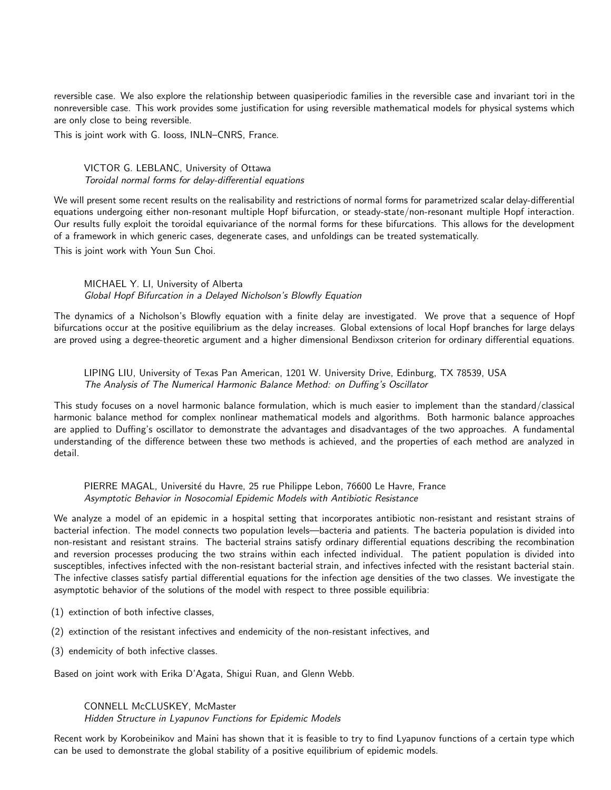reversible case. We also explore the relationship between quasiperiodic families in the reversible case and invariant tori in the nonreversible case. This work provides some justification for using reversible mathematical models for physical systems which are only close to being reversible.

This is joint work with G. Iooss, INLN–CNRS, France.

### VICTOR G. LEBLANC, University of Ottawa Toroidal normal forms for delay-differential equations

We will present some recent results on the realisability and restrictions of normal forms for parametrized scalar delay-differential equations undergoing either non-resonant multiple Hopf bifurcation, or steady-state/non-resonant multiple Hopf interaction. Our results fully exploit the toroidal equivariance of the normal forms for these bifurcations. This allows for the development of a framework in which generic cases, degenerate cases, and unfoldings can be treated systematically.

This is joint work with Youn Sun Choi.

### MICHAEL Y. LI, University of Alberta Global Hopf Bifurcation in a Delayed Nicholson's Blowfly Equation

The dynamics of a Nicholson's Blowfly equation with a finite delay are investigated. We prove that a sequence of Hopf bifurcations occur at the positive equilibrium as the delay increases. Global extensions of local Hopf branches for large delays are proved using a degree-theoretic argument and a higher dimensional Bendixson criterion for ordinary differential equations.

# LIPING LIU, University of Texas Pan American, 1201 W. University Drive, Edinburg, TX 78539, USA The Analysis of The Numerical Harmonic Balance Method: on Duffing's Oscillator

This study focuses on a novel harmonic balance formulation, which is much easier to implement than the standard/classical harmonic balance method for complex nonlinear mathematical models and algorithms. Both harmonic balance approaches are applied to Duffing's oscillator to demonstrate the advantages and disadvantages of the two approaches. A fundamental understanding of the difference between these two methods is achieved, and the properties of each method are analyzed in detail.

## PIERRE MAGAL, Université du Havre, 25 rue Philippe Lebon, 76600 Le Havre, France Asymptotic Behavior in Nosocomial Epidemic Models with Antibiotic Resistance

We analyze a model of an epidemic in a hospital setting that incorporates antibiotic non-resistant and resistant strains of bacterial infection. The model connects two population levels—bacteria and patients. The bacteria population is divided into non-resistant and resistant strains. The bacterial strains satisfy ordinary differential equations describing the recombination and reversion processes producing the two strains within each infected individual. The patient population is divided into susceptibles, infectives infected with the non-resistant bacterial strain, and infectives infected with the resistant bacterial stain. The infective classes satisfy partial differential equations for the infection age densities of the two classes. We investigate the asymptotic behavior of the solutions of the model with respect to three possible equilibria:

- (1) extinction of both infective classes,
- (2) extinction of the resistant infectives and endemicity of the non-resistant infectives, and
- (3) endemicity of both infective classes.

Based on joint work with Erika D'Agata, Shigui Ruan, and Glenn Webb.

# CONNELL McCLUSKEY, McMaster

Hidden Structure in Lyapunov Functions for Epidemic Models

Recent work by Korobeinikov and Maini has shown that it is feasible to try to find Lyapunov functions of a certain type which can be used to demonstrate the global stability of a positive equilibrium of epidemic models.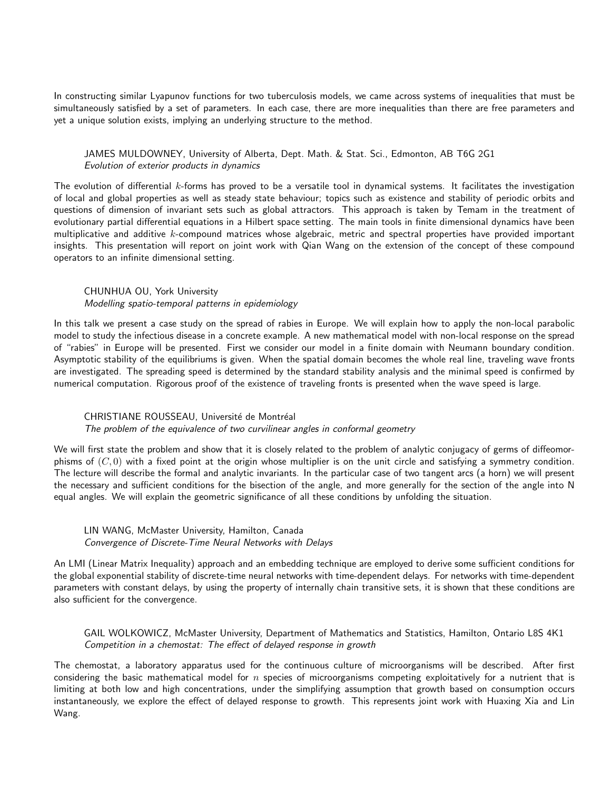In constructing similar Lyapunov functions for two tuberculosis models, we came across systems of inequalities that must be simultaneously satisfied by a set of parameters. In each case, there are more inequalities than there are free parameters and yet a unique solution exists, implying an underlying structure to the method.

## JAMES MULDOWNEY, University of Alberta, Dept. Math. & Stat. Sci., Edmonton, AB T6G 2G1 Evolution of exterior products in dynamics

The evolution of differential k-forms has proved to be a versatile tool in dynamical systems. It facilitates the investigation of local and global properties as well as steady state behaviour; topics such as existence and stability of periodic orbits and questions of dimension of invariant sets such as global attractors. This approach is taken by Temam in the treatment of evolutionary partial differential equations in a Hilbert space setting. The main tools in finite dimensional dynamics have been multiplicative and additive  $k$ -compound matrices whose algebraic, metric and spectral properties have provided important insights. This presentation will report on joint work with Qian Wang on the extension of the concept of these compound operators to an infinite dimensional setting.

### CHUNHUA OU, York University

#### Modelling spatio-temporal patterns in epidemiology

In this talk we present a case study on the spread of rabies in Europe. We will explain how to apply the non-local parabolic model to study the infectious disease in a concrete example. A new mathematical model with non-local response on the spread of "rabies" in Europe will be presented. First we consider our model in a finite domain with Neumann boundary condition. Asymptotic stability of the equilibriums is given. When the spatial domain becomes the whole real line, traveling wave fronts are investigated. The spreading speed is determined by the standard stability analysis and the minimal speed is confirmed by numerical computation. Rigorous proof of the existence of traveling fronts is presented when the wave speed is large.

### CHRISTIANE ROUSSEAU, Université de Montréal

#### The problem of the equivalence of two curvilinear angles in conformal geometry

We will first state the problem and show that it is closely related to the problem of analytic conjugacy of germs of diffeomorphisms of  $(C, 0)$  with a fixed point at the origin whose multiplier is on the unit circle and satisfying a symmetry condition. The lecture will describe the formal and analytic invariants. In the particular case of two tangent arcs (a horn) we will present the necessary and sufficient conditions for the bisection of the angle, and more generally for the section of the angle into N equal angles. We will explain the geometric significance of all these conditions by unfolding the situation.

### LIN WANG, McMaster University, Hamilton, Canada Convergence of Discrete-Time Neural Networks with Delays

An LMI (Linear Matrix Inequality) approach and an embedding technique are employed to derive some sufficient conditions for the global exponential stability of discrete-time neural networks with time-dependent delays. For networks with time-dependent parameters with constant delays, by using the property of internally chain transitive sets, it is shown that these conditions are also sufficient for the convergence.

# GAIL WOLKOWICZ, McMaster University, Department of Mathematics and Statistics, Hamilton, Ontario L8S 4K1 Competition in a chemostat: The effect of delayed response in growth

The chemostat, a laboratory apparatus used for the continuous culture of microorganisms will be described. After first considering the basic mathematical model for  $n$  species of microorganisms competing exploitatively for a nutrient that is limiting at both low and high concentrations, under the simplifying assumption that growth based on consumption occurs instantaneously, we explore the effect of delayed response to growth. This represents joint work with Huaxing Xia and Lin Wang.